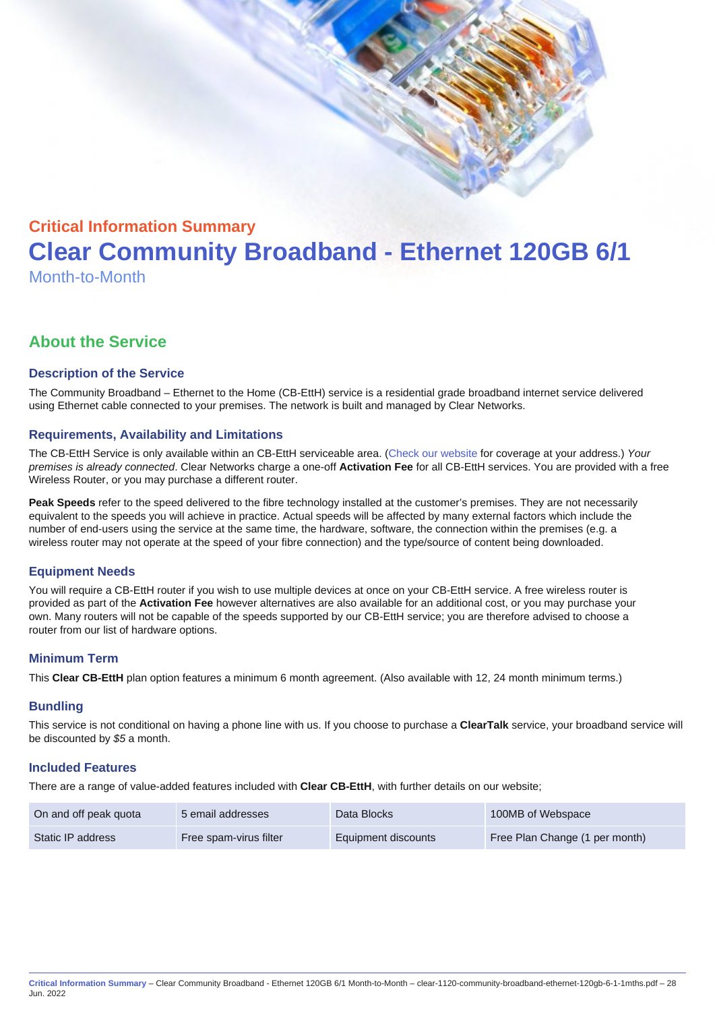# Critical Information Summary Clear Community Broadband - Ethernet 120GB 6/1 Month-to-Month

# About the Service

# Description of the Service

The Community Broadband – Ethernet to the Home (CB-EttH) service is a residential grade broadband internet service delivered using Ethernet cable connected to your premises. The network is built and managed by Clear Networks.

# Requirements, Availability and Limitations

The CB-EttH Service is only available within an CB-EttH serviceable area. ([Check our website](https://www.clear.com.au/residential/community-broadband/) for coverage at your address.) Your premises is already connected. Clear Networks charge a one-off Activation Fee for all CB-EttH services. You are provided with a free Wireless Router, or you may purchase a different router.

Peak Speeds refer to the speed delivered to the fibre technology installed at the customer's premises. They are not necessarily equivalent to the speeds you will achieve in practice. Actual speeds will be affected by many external factors which include the number of end-users using the service at the same time, the hardware, software, the connection within the premises (e.g. a wireless router may not operate at the speed of your fibre connection) and the type/source of content being downloaded.

### Equipment Needs

You will require a CB-EttH router if you wish to use multiple devices at once on your CB-EttH service. A free wireless router is provided as part of the Activation Fee however alternatives are also available for an additional cost, or you may purchase your own. Many routers will not be capable of the speeds supported by our CB-EttH service; you are therefore advised to choose a router from our list of hardware options.

## Minimum Term

This Clear CB-EttH plan option features a minimum 6 month agreement. (Also available with 12, 24 month minimum terms.)

### **Bundling**

This service is not conditional on having a phone line with us. If you choose to purchase a ClearTalk service, your broadband service will be discounted by \$5 a month.

### Included Features

There are a range of value-added features included with Clear CB-EttH , with further details on our website;

| On and off peak quota | 5 email addresses      | Data Blocks         | 100MB of Webspace              |
|-----------------------|------------------------|---------------------|--------------------------------|
| Static IP address     | Free spam-virus filter | Equipment discounts | Free Plan Change (1 per month) |